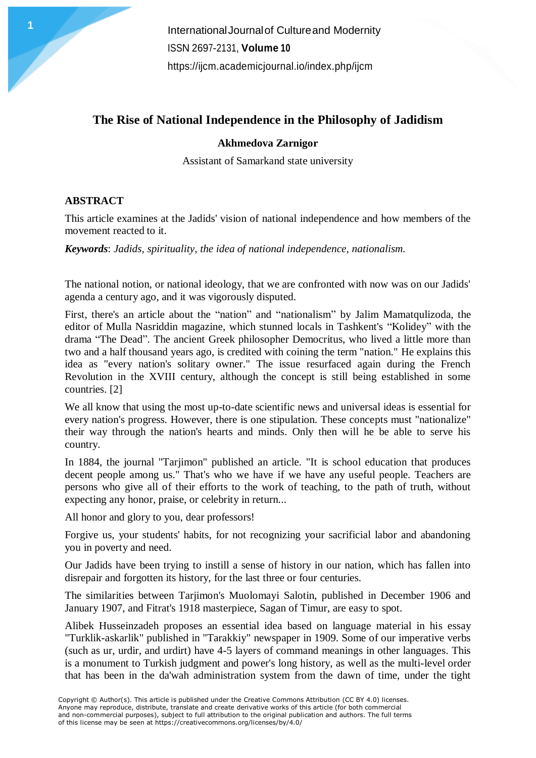InternationalJournalof Cultureand Modernity ISSN 2697-2131, **Volume 10** <https://ijcm.academicjournal.io/index.php/ijcm>

## **The Rise of National Independence in the Philosophy of Jadidism**

## **Akhmedova Zarnigor**

Assistant of Samarkand state university

## **ABSTRACT**

**1**

This article examines at the Jadids' vision of national independence and how members of the movement reacted to it.

*Keywords*: *Jadids, spirituality, the idea of national independence, nationalism.*

The national notion, or national ideology, that we are confronted with now was on our Jadids' agenda a century ago, and it was vigorously disputed.

First, there's an article about the "nation" and "nationalism" by Jalim Mamatqulizoda, the editor of Mulla Nasriddin magazine, which stunned locals in Tashkent's "Kolidey" with the drama "The Dead". The ancient Greek philosopher Democritus, who lived a little more than two and a half thousand years ago, is credited with coining the term "nation." He explains this idea as "every nation's solitary owner." The issue resurfaced again during the French Revolution in the XVIII century, although the concept is still being established in some countries. [2]

We all know that using the most up-to-date scientific news and universal ideas is essential for every nation's progress. However, there is one stipulation. These concepts must "nationalize" their way through the nation's hearts and minds. Only then will he be able to serve his country.

In 1884, the journal "Tarjimon" published an article. "It is school education that produces decent people among us." That's who we have if we have any useful people. Teachers are persons who give all of their efforts to the work of teaching, to the path of truth, without expecting any honor, praise, or celebrity in return...

All honor and glory to you, dear professors!

Forgive us, your students' habits, for not recognizing your sacrificial labor and abandoning you in poverty and need.

Our Jadids have been trying to instill a sense of history in our nation, which has fallen into disrepair and forgotten its history, for the last three or four centuries.

The similarities between Tarjimon's Muolomayi Salotin, published in December 1906 and January 1907, and Fitrat's 1918 masterpiece, Sagan of Timur, are easy to spot.

Alibek Husseinzadeh proposes an essential idea based on language material in his essay "Turklik-askarlik" published in "Tarakkiy" newspaper in 1909. Some of our imperative verbs (such as ur, urdir, and urdirt) have 4-5 layers of command meanings in other languages. This is a monument to Turkish judgment and power's long history, as well as the multi-level order that has been in the da'wah administration system from the dawn of time, under the tight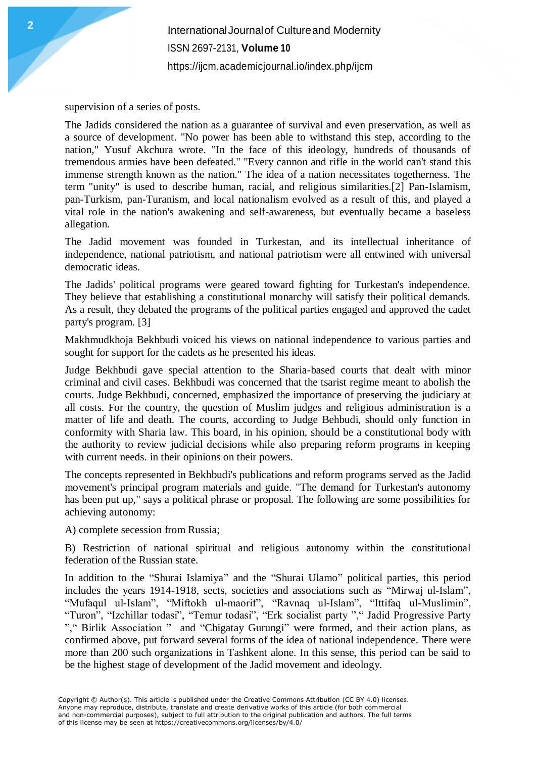InternationalJournalof Cultureand Modernity ISSN 2697-2131, **Volume 10** <https://ijcm.academicjournal.io/index.php/ijcm>

supervision of a series of posts.

The Jadids considered the nation as a guarantee of survival and even preservation, as well as a source of development. "No power has been able to withstand this step, according to the nation," Yusuf Akchura wrote. "In the face of this ideology, hundreds of thousands of tremendous armies have been defeated." "Every cannon and rifle in the world can't stand this immense strength known as the nation." The idea of a nation necessitates togetherness. The term "unity" is used to describe human, racial, and religious similarities.[2] Pan-Islamism, pan-Turkism, pan-Turanism, and local nationalism evolved as a result of this, and played a vital role in the nation's awakening and self-awareness, but eventually became a baseless allegation.

The Jadid movement was founded in Turkestan, and its intellectual inheritance of independence, national patriotism, and national patriotism were all entwined with universal democratic ideas.

The Jadids' political programs were geared toward fighting for Turkestan's independence. They believe that establishing a constitutional monarchy will satisfy their political demands. As a result, they debated the programs of the political parties engaged and approved the cadet party's program. [3]

Makhmudkhoja Bekhbudi voiced his views on national independence to various parties and sought for support for the cadets as he presented his ideas.

Judge Bekhbudi gave special attention to the Sharia-based courts that dealt with minor criminal and civil cases. Bekhbudi was concerned that the tsarist regime meant to abolish the courts. Judge Bekhbudi, concerned, emphasized the importance of preserving the judiciary at all costs. For the country, the question of Muslim judges and religious administration is a matter of life and death. The courts, according to Judge Behbudi, should only function in conformity with Sharia law. This board, in his opinion, should be a constitutional body with the authority to review judicial decisions while also preparing reform programs in keeping with current needs. in their opinions on their powers.

The concepts represented in Bekhbudi's publications and reform programs served as the Jadid movement's principal program materials and guide. "The demand for Turkestan's autonomy has been put up," says a political phrase or proposal. The following are some possibilities for achieving autonomy:

A) complete secession from Russia;

B) Restriction of national spiritual and religious autonomy within the constitutional federation of the Russian state.

In addition to the "Shurai Islamiya" and the "Shurai Ulamo" political parties, this period includes the years 1914-1918, sects, societies and associations such as "Mirwaj ul-Islam", "Mufaqul ul-Islam", "Miftokh ul-maorif", "Ravnaq ul-Islam", "Ittifaq ul-Muslimin", "Turon", "Izchillar todasi", "Temur todasi", "Erk socialist party "," Jadid Progressive Party "," Birlik Association " and "Chigatay Gurungi" were formed, and their action plans, as confirmed above, put forward several forms of the idea of national independence. There were more than 200 such organizations in Tashkent alone. In this sense, this period can be said to be the highest stage of development of the Jadid movement and ideology.